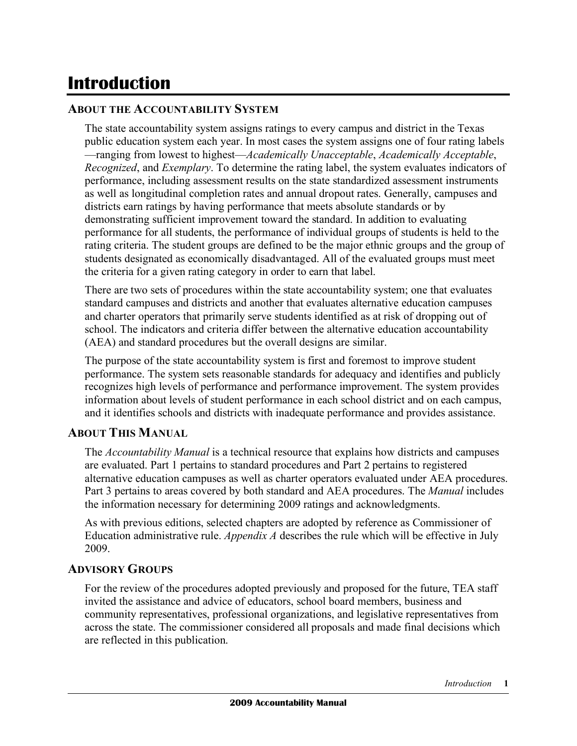# **Introduction**

#### **ABOUT THE ACCOUNTABILITY SYSTEM**

 The state accountability system assigns ratings to every campus and district in the Texas public education system each year. In most cases the system assigns one of four rating labels —ranging from lowest to highest—*Academically Unacceptable*, *Academically Acceptable*, *Recognized*, and *Exemplary*. To determine the rating label, the system evaluates indicators of performance, including assessment results on the state standardized assessment instruments as well as longitudinal completion rates and annual dropout rates. Generally, campuses and districts earn ratings by having performance that meets absolute standards or by demonstrating sufficient improvement toward the standard. In addition to evaluating performance for all students, the performance of individual groups of students is held to the rating criteria. The student groups are defined to be the major ethnic groups and the group of students designated as economically disadvantaged. All of the evaluated groups must meet the criteria for a given rating category in order to earn that label.

 There are two sets of procedures within the state accountability system; one that evaluates standard campuses and districts and another that evaluates alternative education campuses and charter operators that primarily serve students identified as at risk of dropping out of school. The indicators and criteria differ between the alternative education accountability (AEA) and standard procedures but the overall designs are similar.

 The purpose of the state accountability system is first and foremost to improve student performance. The system sets reasonable standards for adequacy and identifies and publicly recognizes high levels of performance and performance improvement. The system provides information about levels of student performance in each school district and on each campus, and it identifies schools and districts with inadequate performance and provides assistance.

#### **ABOUT THIS MANUAL**

 The *Accountability Manual* is a technical resource that explains how districts and campuses are evaluated. Part 1 pertains to standard procedures and Part 2 pertains to registered alternative education campuses as well as charter operators evaluated under AEA procedures. Part 3 pertains to areas covered by both standard and AEA procedures. The *Manual* includes the information necessary for determining 2009 ratings and acknowledgments.

 As with previous editions, selected chapters are adopted by reference as Commissioner of Education administrative rule. *Appendix A* describes the rule which will be effective in July 2009.

#### **ADVISORY GROUPS**

 For the review of the procedures adopted previously and proposed for the future, TEA staff invited the assistance and advice of educators, school board members, business and community representatives, professional organizations, and legislative representatives from across the state. The commissioner considered all proposals and made final decisions which are reflected in this publication.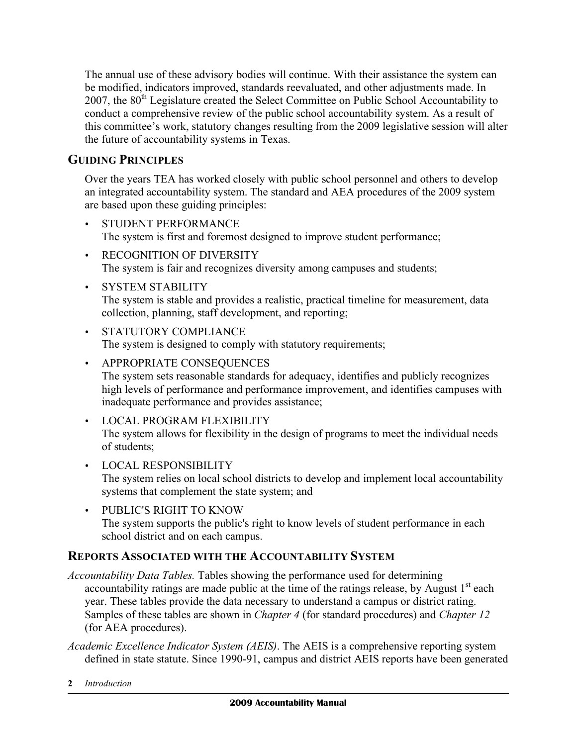The annual use of these advisory bodies will continue. With their assistance the system can be modified, indicators improved, standards reevaluated, and other adjustments made. In 2007, the 80<sup>th</sup> Legislature created the Select Committee on Public School Accountability to conduct a comprehensive review of the public school accountability system. As a result of this committee's work, statutory changes resulting from the 2009 legislative session will alter the future of accountability systems in Texas.

## **GUIDING PRINCIPLES**

 Over the years TEA has worked closely with public school personnel and others to develop an integrated accountability system. The standard and AEA procedures of the 2009 system are based upon these guiding principles:

- The system is first and foremost designed to improve student performance; • STUDENT PERFORMANCE
- • RECOGNITION OF DIVERSITY The system is fair and recognizes diversity among campuses and students;
- The system is stable and provides a realistic, practical timeline for measurement, data collection, planning, staff development, and reporting; • SYSTEM STABILITY
- The system is designed to comply with statutory requirements; • STATUTORY COMPLIANCE
- The system sets reasonable standards for adequacy, identifies and publicly recognizes high levels of performance and performance improvement, and identifies campuses with • APPROPRIATE CONSEQUENCES inadequate performance and provides assistance;
- • LOCAL PROGRAM FLEXIBILITY The system allows for flexibility in the design of programs to meet the individual needs of students;
- The system relies on local school districts to develop and implement local accountability systems that complement the state system; and • LOCAL RESPONSIBILITY
- • PUBLIC'S RIGHT TO KNOW The system supports the public's right to know levels of student performance in each school district and on each campus.

### **REPORTS ASSOCIATED WITH THE ACCOUNTABILITY SYSTEM**

- *Accountability Data Tables.* Tables showing the performance used for determining accountability ratings are made public at the time of the ratings release, by August  $1<sup>st</sup>$  each year. These tables provide the data necessary to understand a campus or district rating. Samples of these tables are shown in *Chapter 4* (for standard procedures) and *Chapter 12*  (for AEA procedures).
- *Academic Excellence Indicator System (AEIS)*. The AEIS is a comprehensive reporting system defined in state statute. Since 1990-91, campus and district AEIS reports have been generated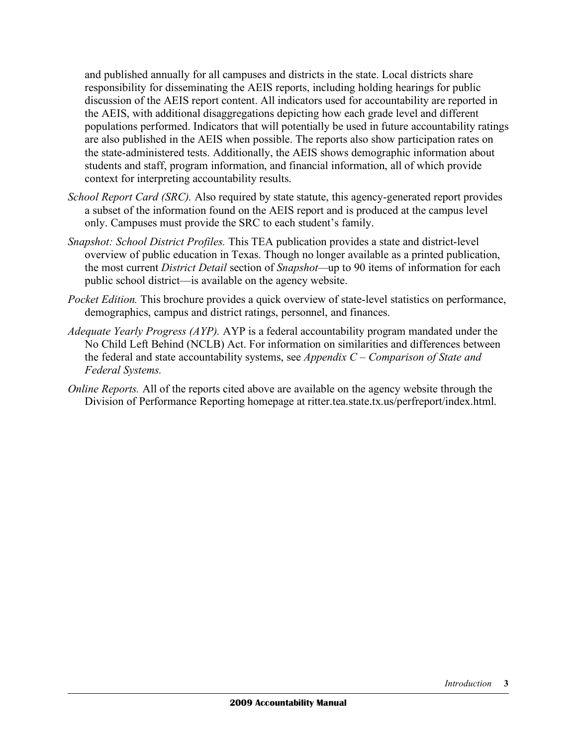and published annually for all campuses and districts in the state. Local districts share responsibility for disseminating the AEIS reports, including holding hearings for public discussion of the AEIS report content. All indicators used for accountability are reported in the AEIS, with additional disaggregations depicting how each grade level and different populations performed. Indicators that will potentially be used in future accountability ratings are also published in the AEIS when possible. The reports also show participation rates on the state-administered tests. Additionally, the AEIS shows demographic information about students and staff, program information, and financial information, all of which provide context for interpreting accountability results.

- *School Report Card (SRC).* Also required by state statute, this agency-generated report provides a subset of the information found on the AEIS report and is produced at the campus level only. Campuses must provide the SRC to each student's family.
- *Snapshot: School District Profiles.* This TEA publication provides a state and district-level overview of public education in Texas. Though no longer available as a printed publication, the most current *District Detail* section of *Snapshot—*up to 90 items of information for each public school district—is available on the agency website.
- *Pocket Edition.* This brochure provides a quick overview of state-level statistics on performance, demographics, campus and district ratings, personnel, and finances.
- *Adequate Yearly Progress (AYP).* AYP is a federal accountability program mandated under the No Child Left Behind (NCLB) Act. For information on similarities and differences between the federal and state accountability systems, see *Appendix C – Comparison of State and Federal Systems.*
- *Online Reports. All of the reports cited above are available on the agency website through the* Division of Performance Reporting homepage at ritter.tea.state.tx.us/perfreport/index.html.